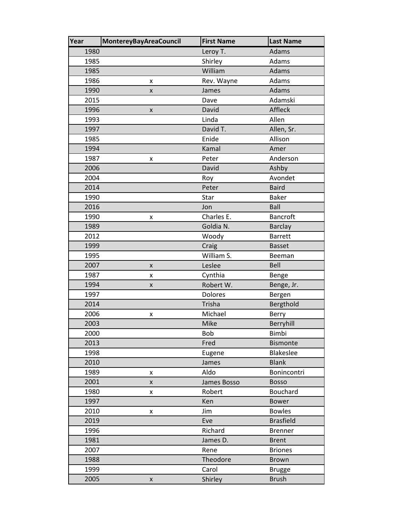| Year | <b>MontereyBayAreaCouncil</b> | <b>First Name</b> | <b>Last Name</b> |
|------|-------------------------------|-------------------|------------------|
| 1980 |                               | Leroy T.          | Adams            |
| 1985 |                               | Shirley           | Adams            |
| 1985 |                               | William           | Adams            |
| 1986 | x                             | Rev. Wayne        | Adams            |
| 1990 | $\pmb{\mathsf{X}}$            | James             | Adams            |
| 2015 |                               | Dave              | Adamski          |
| 1996 | X                             | David             | Affleck          |
| 1993 |                               | Linda             | Allen            |
| 1997 |                               | David T.          | Allen, Sr.       |
| 1985 |                               | Enide             | Allison          |
| 1994 |                               | Kamal             | Amer             |
| 1987 | x                             | Peter             | Anderson         |
| 2006 |                               | David             | Ashby            |
| 2004 |                               | Roy               | Avondet          |
| 2014 |                               | Peter             | <b>Baird</b>     |
| 1990 |                               | Star              | <b>Baker</b>     |
| 2016 |                               | Jon               | Ball             |
| 1990 | x                             | Charles E.        | <b>Bancroft</b>  |
| 1989 |                               | Goldia N.         | <b>Barclay</b>   |
| 2012 |                               | Woody             | <b>Barrett</b>   |
| 1999 |                               | Craig             | <b>Basset</b>    |
| 1995 |                               | William S.        | Beeman           |
| 2007 | X                             | Leslee            | Bell             |
| 1987 | X                             | Cynthia           | Benge            |
| 1994 | X                             | Robert W.         | Benge, Jr.       |
| 1997 |                               | Dolores           | Bergen           |
| 2014 |                               | Trisha            | Bergthold        |
| 2006 | X                             | Michael           | Berry            |
| 2003 |                               | Mike              | Berryhill        |
| 2000 |                               | Bob               | Bimbi            |
| 2013 |                               | Fred              | <b>Bismonte</b>  |
| 1998 |                               | Eugene            | <b>Blakeslee</b> |
| 2010 |                               | James             | <b>Blank</b>     |
| 1989 | X                             | Aldo              | Bonincontri      |
| 2001 | X                             | James Bosso       | <b>Bosso</b>     |
| 1980 | X                             | Robert            | Bouchard         |
| 1997 |                               | Ken               | <b>Bower</b>     |
| 2010 | x                             | Jim               | <b>Bowles</b>    |
| 2019 |                               | Eve               | <b>Brasfield</b> |
| 1996 |                               | Richard           | <b>Brenner</b>   |
| 1981 |                               | James D.          | <b>Brent</b>     |
| 2007 |                               | Rene              | <b>Briones</b>   |
| 1988 |                               | Theodore          | Brown            |
| 1999 |                               | Carol             | <b>Brugge</b>    |
| 2005 | $\pmb{\mathsf{X}}$            | Shirley           | <b>Brush</b>     |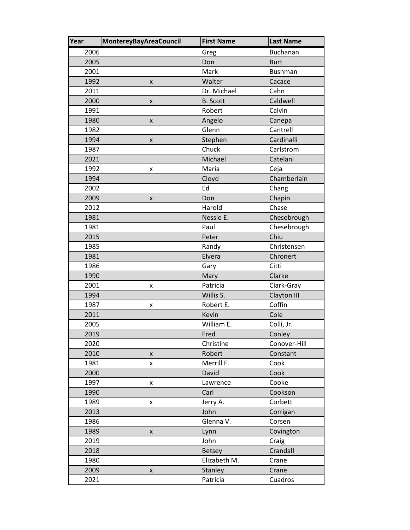| Year | <b>MontereyBayAreaCouncil</b> | <b>First Name</b> | <b>Last Name</b> |
|------|-------------------------------|-------------------|------------------|
| 2006 |                               | Greg              | <b>Buchanan</b>  |
| 2005 |                               | Don               | <b>Burt</b>      |
| 2001 |                               | Mark              | <b>Bushman</b>   |
| 1992 | X                             | Walter            | Cacace           |
| 2011 |                               | Dr. Michael       | Cahn             |
| 2000 | X                             | <b>B.</b> Scott   | Caldwell         |
| 1991 |                               | Robert            | Calvin           |
| 1980 | X                             | Angelo            | Canepa           |
| 1982 |                               | Glenn             | Cantrell         |
| 1994 | $\pmb{\mathsf{X}}$            | Stephen           | Cardinalli       |
| 1987 |                               | Chuck             | Carlstrom        |
| 2021 |                               | Michael           | Catelani         |
| 1992 | X                             | Maria             | Ceja             |
| 1994 |                               | Cloyd             | Chamberlain      |
| 2002 |                               | Ed                | Chang            |
| 2009 | X                             | Don               | Chapin           |
| 2012 |                               | Harold            | Chase            |
| 1981 |                               | Nessie E.         | Chesebrough      |
| 1981 |                               | Paul              | Chesebrough      |
| 2015 |                               | Peter             | Chiu             |
| 1985 |                               | Randy             | Christensen      |
| 1981 |                               | Elvera            | Chronert         |
| 1986 |                               | Gary              | Citti            |
| 1990 |                               | Mary              | Clarke           |
| 2001 | x                             | Patricia          | Clark-Gray       |
| 1994 |                               | Willis S.         | Clayton III      |
| 1987 | x                             | Robert E.         | Coffin           |
| 2011 |                               | Kevin             | Cole             |
| 2005 |                               | William E.        | Colli, Jr.       |
| 2019 |                               | Fred              | Conley           |
| 2020 |                               | Christine         | Conover-Hill     |
| 2010 | $\pmb{\mathsf{X}}$            | Robert            | Constant         |
| 1981 | x                             | Merrill F.        | Cook             |
| 2000 |                               | David             | Cook             |
| 1997 | X                             | Lawrence          | Cooke            |
| 1990 |                               | Carl              | Cookson          |
| 1989 | x                             | Jerry A.          | Corbett          |
| 2013 |                               | John              | Corrigan         |
| 1986 |                               | Glenna V.         | Corsen           |
| 1989 | X                             | Lynn              | Covington        |
| 2019 |                               | John              | Craig            |
| 2018 |                               | <b>Betsey</b>     | Crandall         |
| 1980 |                               | Elizabeth M.      | Crane            |
| 2009 | X                             | <b>Stanley</b>    | Crane            |
| 2021 |                               | Patricia          | Cuadros          |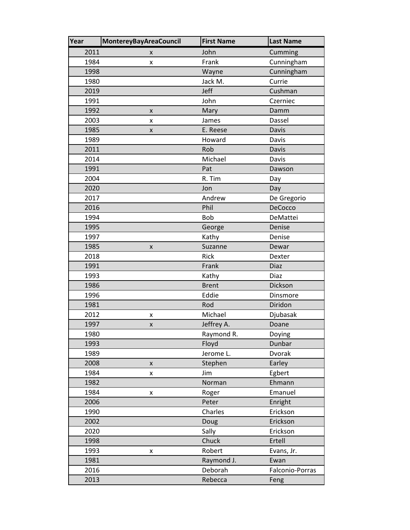| Year | <b>MontereyBayAreaCouncil</b> | <b>First Name</b> | <b>Last Name</b> |
|------|-------------------------------|-------------------|------------------|
| 2011 | x                             | John              | Cumming          |
| 1984 | x                             | Frank             | Cunningham       |
| 1998 |                               | Wayne             | Cunningham       |
| 1980 |                               | Jack M.           | Currie           |
| 2019 |                               | Jeff              | Cushman          |
| 1991 |                               | John              | Czerniec         |
| 1992 | X                             | Mary              | Damm             |
| 2003 | x                             | James             | Dassel           |
| 1985 | X                             | E. Reese          | Davis            |
| 1989 |                               | Howard            | Davis            |
| 2011 |                               | Rob               | Davis            |
| 2014 |                               | Michael           | Davis            |
| 1991 |                               | Pat               | Dawson           |
| 2004 |                               | R. Tim            | Day              |
| 2020 |                               | Jon               | Day              |
| 2017 |                               | Andrew            | De Gregorio      |
| 2016 |                               | Phil              | DeCocco          |
| 1994 |                               | Bob               | DeMattei         |
| 1995 |                               | George            | Denise           |
| 1997 |                               | Kathy             | Denise           |
| 1985 | X                             | Suzanne           | Dewar            |
| 2018 |                               | Rick              | Dexter           |
| 1991 |                               | Frank             | Diaz             |
| 1993 |                               | Kathy             | Diaz             |
| 1986 |                               | <b>Brent</b>      | Dickson          |
| 1996 |                               | Eddie             | Dinsmore         |
| 1981 |                               | Rod               | Diridon          |
| 2012 | X                             | Michael           | Djubasak         |
| 1997 | X                             | Jeffrey A.        | Doane            |
| 1980 |                               | Raymond R.        | Doying           |
| 1993 |                               | Floyd             | Dunbar           |
| 1989 |                               | Jerome L.         | Dvorak           |
| 2008 | $\pmb{\mathsf{X}}$            | Stephen           | Earley           |
| 1984 | X                             | Jim               | Egbert           |
| 1982 |                               | Norman            | Ehmann           |
| 1984 | X                             | Roger             | Emanuel          |
| 2006 |                               | Peter             | Enright          |
| 1990 |                               | Charles           | Erickson         |
| 2002 |                               | Doug              | Erickson         |
| 2020 |                               | Sally             | Erickson         |
| 1998 |                               | Chuck             | Ertell           |
| 1993 | X                             | Robert            | Evans, Jr.       |
| 1981 |                               | Raymond J.        | Ewan             |
| 2016 |                               | Deborah           | Falconio-Porras  |
| 2013 |                               | Rebecca           | Feng             |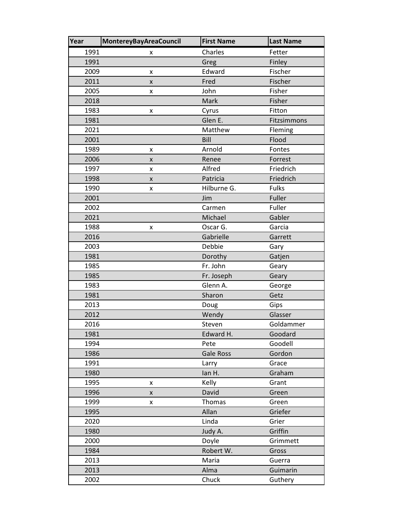| Year | <b>MontereyBayAreaCouncil</b> | <b>First Name</b> | <b>Last Name</b> |
|------|-------------------------------|-------------------|------------------|
| 1991 | x                             | Charles           | Fetter           |
| 1991 |                               | Greg              | Finley           |
| 2009 | X                             | Edward            | Fischer          |
| 2011 | X                             | Fred              | Fischer          |
| 2005 | x                             | John              | Fisher           |
| 2018 |                               | Mark              | Fisher           |
| 1983 | $\pmb{\mathsf{x}}$            | Cyrus             | Fitton           |
| 1981 |                               | Glen E.           | Fitzsimmons      |
| 2021 |                               | Matthew           | Fleming          |
| 2001 |                               | Bill              | Flood            |
| 1989 | x                             | Arnold            | Fontes           |
| 2006 | $\pmb{\times}$                | Renee             | Forrest          |
| 1997 | X                             | Alfred            | Friedrich        |
| 1998 | X                             | Patricia          | Friedrich        |
| 1990 | x                             | Hilburne G.       | <b>Fulks</b>     |
| 2001 |                               | Jim               | Fuller           |
| 2002 |                               | Carmen            | Fuller           |
| 2021 |                               | Michael           | Gabler           |
| 1988 | X                             | Oscar G.          | Garcia           |
| 2016 |                               | Gabrielle         | Garrett          |
| 2003 |                               | Debbie            | Gary             |
| 1981 |                               | Dorothy           | Gatjen           |
| 1985 |                               | Fr. John          | Geary            |
| 1985 |                               | Fr. Joseph        | Geary            |
| 1983 |                               | Glenn A.          | George           |
| 1981 |                               | Sharon            | Getz             |
| 2013 |                               | Doug              | Gips             |
| 2012 |                               | Wendy             | Glasser          |
| 2016 |                               | Steven            | Goldammer        |
| 1981 |                               | Edward H.         | Goodard          |
| 1994 |                               | Pete              | Goodell          |
| 1986 |                               | <b>Gale Ross</b>  | Gordon           |
| 1991 |                               | Larry             | Grace            |
| 1980 |                               | lan H.            | Graham           |
| 1995 | X                             | Kelly             | Grant            |
| 1996 | X                             | David             | Green            |
| 1999 | x                             | Thomas            | Green            |
| 1995 |                               | Allan             | Griefer          |
| 2020 |                               | Linda             | Grier            |
| 1980 |                               | Judy A.           | Griffin          |
| 2000 |                               | Doyle             | Grimmett         |
| 1984 |                               | Robert W.         | Gross            |
| 2013 |                               | Maria             | Guerra           |
| 2013 |                               | Alma              | Guimarin         |
| 2002 |                               | Chuck             | Guthery          |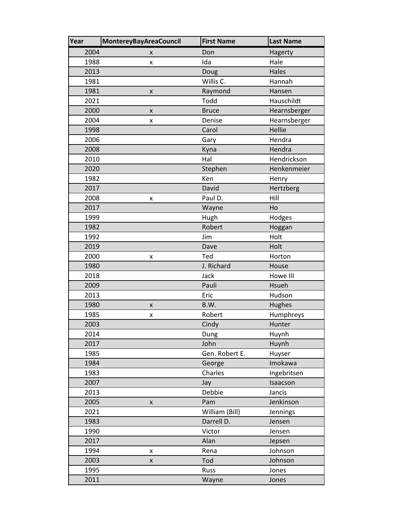| Year | <b>MontereyBayAreaCouncil</b> | <b>First Name</b> | <b>Last Name</b> |
|------|-------------------------------|-------------------|------------------|
| 2004 | x                             | Don               | Hagerty          |
| 1988 | x                             | Ida               | Hale             |
| 2013 |                               | Doug              | Hales            |
| 1981 |                               | Willis C.         | Hannah           |
| 1981 | $\pmb{\times}$                | Raymond           | Hansen           |
| 2021 |                               | Todd              | Hauschildt       |
| 2000 | X                             | <b>Bruce</b>      | Hearnsberger     |
| 2004 | x                             | Denise            | Hearnsberger     |
| 1998 |                               | Carol             | Hellie           |
| 2006 |                               | Gary              | Hendra           |
| 2008 |                               | Kyna              | Hendra           |
| 2010 |                               | Hal               | Hendrickson      |
| 2020 |                               | Stephen           | Henkenmeier      |
| 1982 |                               | Ken               | Henry            |
| 2017 |                               | David             | Hertzberg        |
| 2008 | x                             | Paul D.           | Hill             |
| 2017 |                               | Wayne             | Ho               |
| 1999 |                               | Hugh              | Hodges           |
| 1982 |                               | Robert            | Hoggan           |
| 1992 |                               | Jim               | Holt             |
| 2019 |                               | Dave              | Holt             |
| 2000 | Χ                             | Ted               | Horton           |
| 1980 |                               | J. Richard        | House            |
| 2018 |                               | Jack              | Howe III         |
| 2009 |                               | Pauli             | Hsueh            |
| 2013 |                               | Eric              | Hudson           |
| 1980 | x                             | B.W.              | Hughes           |
| 1985 | X                             | Robert            | Humphreys        |
| 2003 |                               | Cindy             | Hunter           |
| 2014 |                               | Dung              | Huynh            |
| 2017 |                               | John              | Huynh            |
| 1985 |                               | Gen. Robert E.    | Huyser           |
| 1984 |                               | George            | Imokawa          |
| 1983 |                               | Charles           | Ingebritsen      |
| 2007 |                               | Jay               | Isaacson         |
| 2013 |                               | Debbie            | Jancis           |
| 2005 | x                             | Pam               | Jenkinson        |
| 2021 |                               | William (Bill)    | Jennings         |
| 1983 |                               | Darrell D.        | Jensen           |
| 1990 |                               | Victor            | Jensen           |
| 2017 |                               | Alan              | Jepsen           |
| 1994 | X                             | Rena              | Johnson          |
| 2003 | X                             | Tod               | Johnson          |
| 1995 |                               | Russ              | Jones            |
| 2011 |                               | Wayne             | Jones            |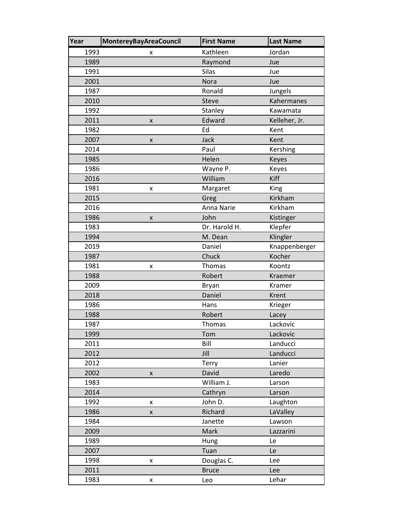| Year | MontereyBayAreaCouncil | <b>First Name</b> | <b>Last Name</b> |
|------|------------------------|-------------------|------------------|
| 1993 | x                      | Kathleen          | Jordan           |
| 1989 |                        | Raymond           | Jue              |
| 1991 |                        | <b>Silas</b>      | Jue              |
| 2001 |                        | Nora              | Jue              |
| 1987 |                        | Ronald            | Jungels          |
| 2010 |                        | Steve             | Kahermanes       |
| 1992 |                        | Stanley           | Kawamata         |
| 2011 | $\pmb{\mathsf{x}}$     | Edward            | Kelleher, Jr.    |
| 1982 |                        | Ed                | Kent             |
| 2007 | X                      | Jack              | Kent             |
| 2014 |                        | Paul              | Kershing         |
| 1985 |                        | Helen             | Keyes            |
| 1986 |                        | Wayne P.          | Keyes            |
| 2016 |                        | William           | Kiff             |
| 1981 | x                      | Margaret          | King             |
| 2015 |                        | Greg              | Kirkham          |
| 2016 |                        | Anna Narie        | Kirkham          |
| 1986 | X                      | John              | Kistinger        |
| 1983 |                        | Dr. Harold H.     | Klepfer          |
| 1994 |                        | M. Dean           | Klingler         |
| 2019 |                        | Daniel            | Knappenberger    |
| 1987 |                        | Chuck             | Kocher           |
| 1981 | x                      | Thomas            | Koontz           |
| 1988 |                        | Robert            | Kraemer          |
| 2009 |                        | <b>Bryan</b>      | Kramer           |
| 2018 |                        | Daniel            | Krent            |
| 1986 |                        | Hans              | Krieger          |
| 1988 |                        | Robert            | Lacey            |
| 1987 |                        | Thomas            | Lackovic         |
| 1999 |                        | Tom               | Lackovic         |
| 2011 |                        | Bill              | Landucci         |
| 2012 |                        | Jill              | Landucci         |
| 2012 |                        | <b>Terry</b>      | Lanier           |
| 2002 | $\pmb{\mathsf{X}}$     | David             | Laredo           |
| 1983 |                        | William J.        | Larson           |
| 2014 |                        | Cathryn           | Larson           |
| 1992 | x                      | John D.           | Laughton         |
| 1986 | X                      | Richard           | LaValley         |
| 1984 |                        | Janette           | Lawson           |
| 2009 |                        | Mark              | Lazzarini        |
| 1989 |                        | Hung              | Le               |
| 2007 |                        | Tuan              | Le               |
| 1998 | X                      | Douglas C.        | Lee              |
| 2011 |                        | <b>Bruce</b>      | Lee              |
| 1983 | X                      | Leo               | Lehar            |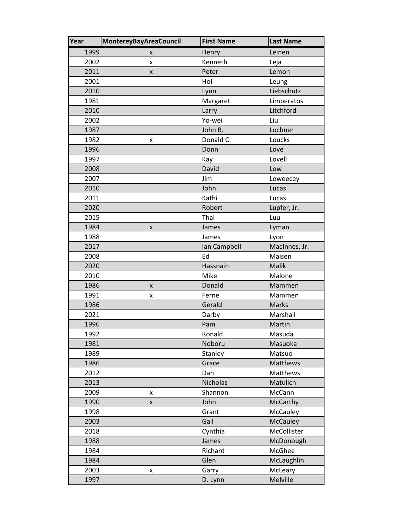| Year | <b>MontereyBayAreaCouncil</b> | <b>First Name</b> | <b>Last Name</b> |
|------|-------------------------------|-------------------|------------------|
| 1999 | x                             | Henry             | Leinen           |
| 2002 | x                             | Kenneth           | Leja             |
| 2011 | x                             | Peter             | Lemon            |
| 2001 |                               | Hoi               | Leung            |
| 2010 |                               | Lynn              | Liebschutz       |
| 1981 |                               | Margaret          | Limberatos       |
| 2010 |                               | Larry             | Litchford        |
| 2002 |                               | Yo-wei            | Liu              |
| 1987 |                               | John B.           | Lochner          |
| 1982 | x                             | Donald C.         | Loucks           |
| 1996 |                               | Donn              | Love             |
| 1997 |                               | Kay               | Lovell           |
| 2008 |                               | David             | Low              |
| 2007 |                               | Jim               | Loweecey         |
| 2010 |                               | John              | Lucas            |
| 2011 |                               | Kathi             | Lucas            |
| 2020 |                               | Robert            | Lupfer, Jr.      |
| 2015 |                               | Thai              | Luu              |
| 1984 | X                             | James             | Lyman            |
| 1988 |                               | James             | Lyon             |
| 2017 |                               | Ian Campbell      | MacInnes, Jr.    |
| 2008 |                               | Ed                | Maisen           |
| 2020 |                               | Hassnain          | Malik            |
| 2010 |                               | Mike              | Malone           |
| 1986 | X                             | Donald            | Mammen           |
| 1991 | X                             | Ferne             | Mammen           |
| 1986 |                               | Gerald            | <b>Marks</b>     |
| 2021 |                               | Darby             | Marshall         |
| 1996 |                               | Pam               | Martin           |
| 1992 |                               | Ronald            | Masuda           |
| 1981 |                               | Noboru            | Masuoka          |
| 1989 |                               | Stanley           | Matsuo           |
| 1986 |                               | Grace             | Matthews         |
| 2012 |                               | Dan               | Matthews         |
| 2013 |                               | Nicholas          | Matulich         |
| 2009 | X                             | Shannon           | McCann           |
| 1990 | X                             | John              | <b>McCarthy</b>  |
| 1998 |                               | Grant             | McCauley         |
| 2003 |                               | Gail              | <b>McCauley</b>  |
| 2018 |                               | Cynthia           | McCollister      |
| 1988 |                               | James             | McDonough        |
| 1984 |                               | Richard           | McGhee           |
| 1984 |                               | Glen              | McLaughlin       |
| 2003 | x                             | Garry             | McLeary          |
| 1997 |                               | D. Lynn           | Melville         |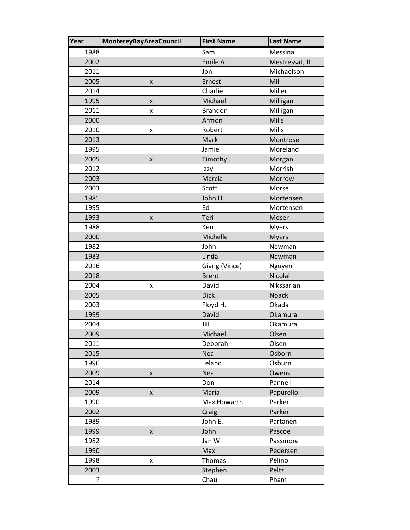| Year | <b>MontereyBayAreaCouncil</b> | <b>First Name</b> | <b>Last Name</b> |
|------|-------------------------------|-------------------|------------------|
| 1988 |                               | Sam               | Messina          |
| 2002 |                               | Emile A.          | Mestressat, III  |
| 2011 |                               | Jon               | Michaelson       |
| 2005 | X                             | Ernest            | Mill             |
| 2014 |                               | Charlie           | Miller           |
| 1995 | X                             | Michael           | Milligan         |
| 2011 | x                             | <b>Brandon</b>    | Milligan         |
| 2000 |                               | Armon             | Mills            |
| 2010 | X                             | Robert            | Mills            |
| 2013 |                               | Mark              | Montrose         |
| 1995 |                               | Jamie             | Moreland         |
| 2005 | X                             | Timothy J.        | Morgan           |
| 2012 |                               | Izzy              | Morrish          |
| 2003 |                               | Marcia            | Morrow           |
| 2003 |                               | Scott             | Morse            |
| 1981 |                               | John H.           | Mortensen        |
| 1995 |                               | Ed                | Mortensen        |
| 1993 | x                             | Teri              | Moser            |
| 1988 |                               | Ken               | <b>Myers</b>     |
| 2000 |                               | Michelle          | <b>Myers</b>     |
| 1982 |                               | John              | Newman           |
| 1983 |                               | Linda             | Newman           |
| 2016 |                               | Giang (Vince)     | Nguyen           |
| 2018 |                               | <b>Brent</b>      | Nicolai          |
| 2004 | x                             | David             | Nikssarian       |
| 2005 |                               | <b>Dick</b>       | <b>Noack</b>     |
| 2003 |                               | Floyd H.          | Okada            |
| 1999 |                               | David             | Okamura          |
| 2004 |                               | Jill              | Okamura          |
| 2009 |                               | Michael           | Olsen            |
| 2011 |                               | Deborah           | Olsen            |
| 2015 |                               | <b>Neal</b>       | Osborn           |
| 1996 |                               | Leland            | Osburn           |
| 2009 | $\pmb{\mathsf{X}}$            | Neal              | Owens            |
| 2014 |                               | Don               | Pannell          |
| 2009 | X                             | Maria             | Papurello        |
| 1990 |                               | Max Howarth       | Parker           |
| 2002 |                               | Craig             | Parker           |
| 1989 |                               | John E.           | Partanen         |
| 1999 | X                             | John              | Pascoe           |
| 1982 |                               | Jan W.            | Passmore         |
| 1990 |                               | Max               | Pedersen         |
| 1998 | X                             | Thomas            | Pelino           |
| 2003 |                               | Stephen           | Peltz            |
| ?    |                               | Chau              | Pham             |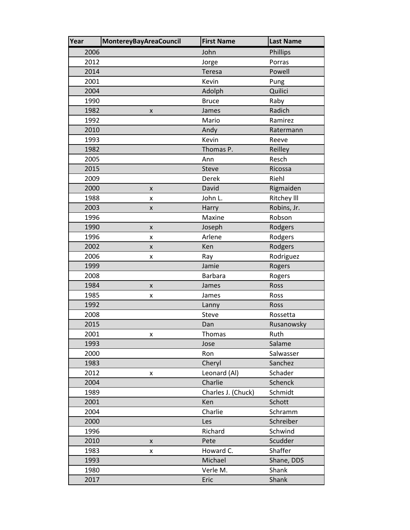| Year | MontereyBayAreaCouncil | <b>First Name</b>  | <b>Last Name</b>   |
|------|------------------------|--------------------|--------------------|
| 2006 |                        | John               | Phillips           |
| 2012 |                        | Jorge              | Porras             |
| 2014 |                        | Teresa             | Powell             |
| 2001 |                        | Kevin              | Pung               |
| 2004 |                        | Adolph             | Quilici            |
| 1990 |                        | <b>Bruce</b>       | Raby               |
| 1982 | X                      | James              | Radich             |
| 1992 |                        | Mario              | Ramirez            |
| 2010 |                        | Andy               | Ratermann          |
| 1993 |                        | Kevin              | Reeve              |
| 1982 |                        | Thomas P.          | Reilley            |
| 2005 |                        | Ann                | Resch              |
| 2015 |                        | Steve              | Ricossa            |
| 2009 |                        | Derek              | Riehl              |
| 2000 | X                      | David              | Rigmaiden          |
| 1988 | Χ                      | John L.            | <b>Ritchey III</b> |
| 2003 | X                      | Harry              | Robins, Jr.        |
| 1996 |                        | Maxine             | Robson             |
| 1990 | X                      | Joseph             | Rodgers            |
| 1996 | X                      | Arlene             | Rodgers            |
| 2002 | X                      | Ken                | Rodgers            |
| 2006 | x                      | Ray                | Rodriguez          |
| 1999 |                        | Jamie              | Rogers             |
| 2008 |                        | <b>Barbara</b>     | Rogers             |
| 1984 | X                      | James              | Ross               |
| 1985 | x                      | James              | Ross               |
| 1992 |                        | Lanny              | Ross               |
| 2008 |                        | Steve              | Rossetta           |
| 2015 |                        | Dan                | Rusanowsky         |
| 2001 | x                      | Thomas             | Ruth               |
| 1993 |                        | Jose               | Salame             |
| 2000 |                        | Ron                | Salwasser          |
| 1983 |                        | Cheryl             | Sanchez            |
| 2012 | X                      | Leonard (Al)       | Schader            |
| 2004 |                        | Charlie            | Schenck            |
| 1989 |                        | Charles J. (Chuck) | Schmidt            |
| 2001 |                        | Ken                | Schott             |
| 2004 |                        | Charlie            | Schramm            |
| 2000 |                        | Les                | Schreiber          |
| 1996 |                        | Richard            | Schwind            |
| 2010 | X                      | Pete               | Scudder            |
| 1983 | X                      | Howard C.          | Shaffer            |
| 1993 |                        | Michael            | Shane, DDS         |
| 1980 |                        | Verle M.           | Shank              |
| 2017 |                        | Eric               | Shank              |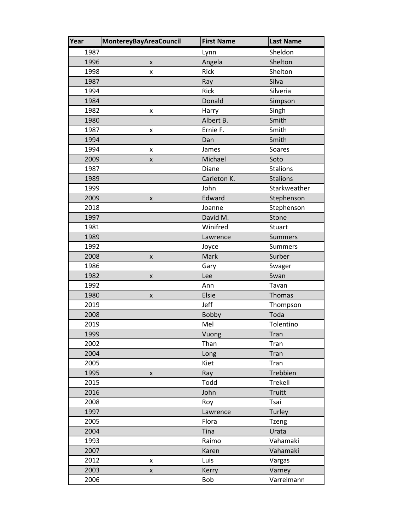| Year | <b>MontereyBayAreaCouncil</b> | <b>First Name</b> | <b>Last Name</b> |
|------|-------------------------------|-------------------|------------------|
| 1987 |                               | Lynn              | Sheldon          |
| 1996 | $\pmb{\times}$                | Angela            | Shelton          |
| 1998 | x                             | Rick              | Shelton          |
| 1987 |                               | Ray               | Silva            |
| 1994 |                               | Rick              | Silveria         |
| 1984 |                               | Donald            | Simpson          |
| 1982 | x                             | Harry             | Singh            |
| 1980 |                               | Albert B.         | Smith            |
| 1987 | X                             | Ernie F.          | Smith            |
| 1994 |                               | Dan               | Smith            |
| 1994 | X                             | James             | Soares           |
| 2009 | $\pmb{\times}$                | Michael           | Soto             |
| 1987 |                               | Diane             | <b>Stalions</b>  |
| 1989 |                               | Carleton K.       | <b>Stalions</b>  |
| 1999 |                               | John              | Starkweather     |
| 2009 | X                             | Edward            | Stephenson       |
| 2018 |                               | Joanne            | Stephenson       |
| 1997 |                               | David M.          | Stone            |
| 1981 |                               | Winifred          | Stuart           |
| 1989 |                               | Lawrence          | <b>Summers</b>   |
| 1992 |                               | Joyce             | <b>Summers</b>   |
| 2008 | $\pmb{\mathsf{X}}$            | Mark              | Surber           |
| 1986 |                               | Gary              | Swager           |
| 1982 | X                             | Lee               | Swan             |
| 1992 |                               | Ann               | Tavan            |
| 1980 | X                             | Elsie             | Thomas           |
| 2019 |                               | Jeff              | Thompson         |
| 2008 |                               | <b>Bobby</b>      | Toda             |
| 2019 |                               | Mel               | Tolentino        |
| 1999 |                               | Vuong             | Tran             |
| 2002 |                               | Than              | Tran             |
| 2004 |                               | Long              | Tran             |
| 2005 |                               | Kiet              | Tran             |
| 1995 | $\pmb{\mathsf{X}}$            | Ray               | Trebbien         |
| 2015 |                               | Todd              | Trekell          |
| 2016 |                               | John              | Truitt           |
| 2008 |                               | Roy               | Tsai             |
| 1997 |                               | Lawrence          | Turley           |
| 2005 |                               | Flora             | <b>Tzeng</b>     |
| 2004 |                               | Tina              | Urata            |
| 1993 |                               | Raimo             | Vahamaki         |
| 2007 |                               | Karen             | Vahamaki         |
| 2012 | X                             | Luis              | Vargas           |
| 2003 | $\pmb{\mathsf{X}}$            | Kerry             | Varney           |
| 2006 |                               | Bob               | Varrelmann       |